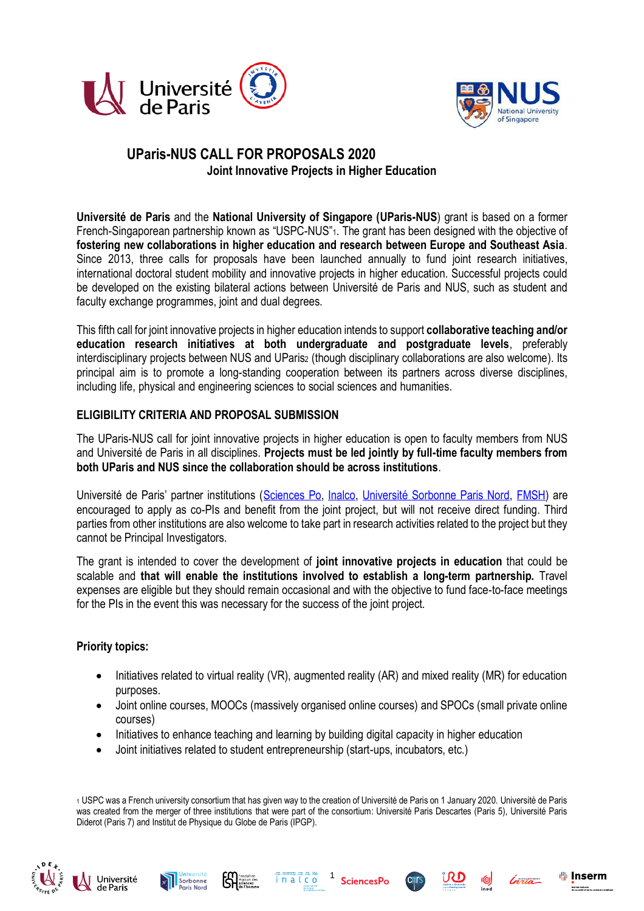



# **UParis-NUS CALL FOR PROPOSALS 2020 Joint Innovative Projects in Higher Education**

**Université de Paris** and the **National University of Singapore (UParis-NUS**) grant is based on a former French-Singaporean partnership known as "USPC-NUS"1. The grant has been designed with the objective of **fostering new collaborations in higher education and research between Europe and Southeast Asia**. Since 2013, three calls for proposals have been launched annually to fund joint research initiatives, international doctoral student mobility and innovative projects in higher education. Successful projects could be developed on the existing bilateral actions between Université de Paris and NUS, such as student and faculty exchange programmes, joint and dual degrees.

This fifth call for joint innovative projects in higher education intends to support **collaborative teaching and/or education research initiatives at both undergraduate and postgraduate levels**, preferably interdisciplinary projects between NUS and UParis<sup>2</sup> (though disciplinary collaborations are also welcome). Its principal aim is to promote a long-standing cooperation between its partners across diverse disciplines, including life, physical and engineering sciences to social sciences and humanities.

### **ELIGIBILITY CRITERIA AND PROPOSAL SUBMISSION**

The UParis-NUS call for joint innovative projects in higher education is open to faculty members from NUS and Université de Paris in all disciplines. **Projects must be led jointly by full-time faculty members from both UParis and NUS since the collaboration should be across institutions**.

Université de Paris' partner institutions ([Sciences Po,](https://www.sciencespo.fr/en/home) [Inalco,](http://www.inalco.fr/bienvenue-site-inalco) [Université Sorbonne Paris Nord,](https://www.univ-paris13.fr/) [FMSH\)](http://www.fmsh.fr/) are encouraged to apply as co-PIs and benefit from the joint project, but will not receive direct funding. Third parties from other institutions are also welcome to take part in research activities related to the project but they cannot be Principal Investigators.

The grant is intended to cover the development of **joint innovative projects in education** that could be scalable and **that will enable the institutions involved to establish a long-term partnership.** Travel expenses are eligible but they should remain occasional and with the objective to fund face-to-face meetings for the PIs in the event this was necessary for the success of the joint project.

### **Priority topics:**

- Initiatives related to virtual reality (VR), augmented reality (AR) and mixed reality (MR) for education purposes.
- Joint online courses, MOOCs (massively organised online courses) and SPOCs (small private online courses)
- Initiatives to enhance teaching and learning by building digital capacity in higher education
- Joint initiatives related to student entrepreneurship (start-ups, incubators, etc.)

<sup>1</sup> USPC was a French university consortium that has given way to the creation of Université de Paris on 1 January 2020. Université de Paris was created from the merger of three institutions that were part of the consortium: Université Paris Descartes (Paris 5), Université Paris Diderot (Paris 7) and Institut de Physique du Globe de Paris (IPGP).











ı‼ı Inserm

Institut national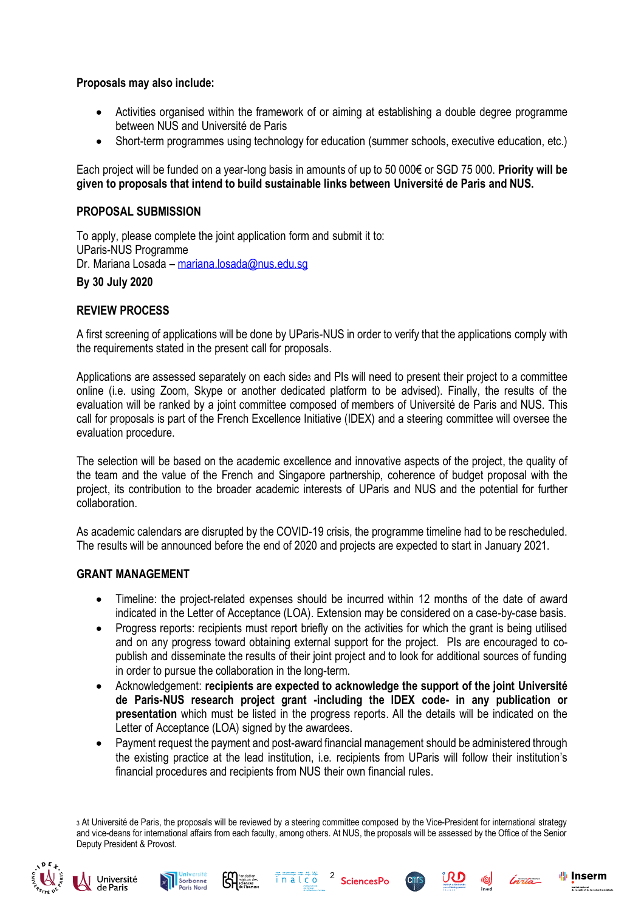**Proposals may also include:**

- Activities organised within the framework of or aiming at establishing a double degree programme between NUS and Université de Paris
- Short-term programmes using technology for education (summer schools, executive education, etc.)

Each project will be funded on a year-long basis in amounts of up to 50 000€ or SGD 75 000. **Priority will be given to proposals that intend to build sustainable links between Université de Paris and NUS.**

## **PROPOSAL SUBMISSION**

To apply, please complete the joint application form and submit it to: UParis-NUS Programme Dr. Mariana Losada – [mariana.losada@nus.edu.sg](mailto:mariana.losada@nus.edu.sg)

# **By 30 July 2020**

## **REVIEW PROCESS**

A first screening of applications will be done by UParis-NUS in order to verify that the applications comply with the requirements stated in the present call for proposals.

Applications are assessed separately on each side<sup>3</sup> and PIs will need to present their project to a committee online (i.e. using Zoom, Skype or another dedicated platform to be advised). Finally, the results of the evaluation will be ranked by a joint committee composed of members of Université de Paris and NUS. This call for proposals is part of the French Excellence Initiative (IDEX) and a steering committee will oversee the evaluation procedure.

The selection will be based on the academic excellence and innovative aspects of the project, the quality of the team and the value of the French and Singapore partnership, coherence of budget proposal with the project, its contribution to the broader academic interests of UParis and NUS and the potential for further collaboration.

As academic calendars are disrupted by the COVID-19 crisis, the programme timeline had to be rescheduled. The results will be announced before the end of 2020 and projects are expected to start in January 2021.

### **GRANT MANAGEMENT**

- Timeline: the project-related expenses should be incurred within 12 months of the date of award indicated in the Letter of Acceptance (LOA). Extension may be considered on a case-by-case basis.
- Progress reports: recipients must report briefly on the activities for which the grant is being utilised and on any progress toward obtaining external support for the project. PIs are encouraged to copublish and disseminate the results of their joint project and to look for additional sources of funding in order to pursue the collaboration in the long-term.
- Acknowledgement: **recipients are expected to acknowledge the support of the joint Université de Paris-NUS research project grant -including the IDEX code- in any publication or presentation** which must be listed in the progress reports. All the details will be indicated on the Letter of Acceptance (LOA) signed by the awardees.
- Payment request the payment and post-award financial management should be administered through the existing practice at the lead institution, i.e. recipients from UParis will follow their institution's financial procedures and recipients from NUS their own financial rules.

3 At Université de Paris, the proposals will be reviewed by a steering committee composed by the Vice-President for international strategy and vice-deans for international affairs from each faculty, among others. At NUS, the proposals will be assessed by the Office of the Senior Deputy President & Provost.

inalco